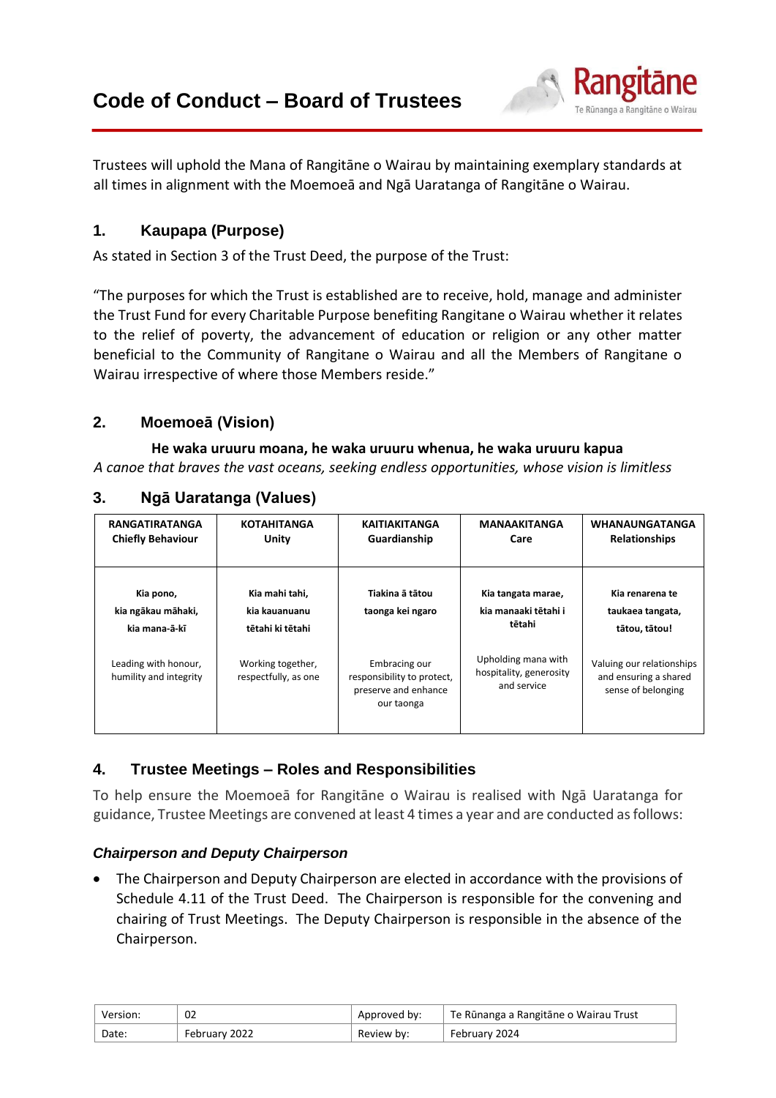

Trustees will uphold the Mana of Rangitāne o Wairau by maintaining exemplary standards at all times in alignment with the Moemoeā and Ngā Uaratanga of Rangitāne o Wairau.

# **1. Kaupapa (Purpose)**

As stated in Section 3 of the Trust Deed, the purpose of the Trust:

"The purposes for which the Trust is established are to receive, hold, manage and administer the Trust Fund for every Charitable Purpose benefiting Rangitane o Wairau whether it relates to the relief of poverty, the advancement of education or religion or any other matter beneficial to the Community of Rangitane o Wairau and all the Members of Rangitane o Wairau irrespective of where those Members reside."

# **2. Moemoeā (Vision)**

#### **He waka uruuru moana, he waka uruuru whenua, he waka uruuru kapua**

*A canoe that braves the vast oceans, seeking endless opportunities, whose vision is limitless*

| <b>RANGATIRATANGA</b><br><b>Chiefly Behaviour</b> | <b>KOTAHITANGA</b><br>Unity                         | <b>KAITIAKITANGA</b><br>Guardianship                                              | <b>MANAAKITANGA</b><br>Care                                   | <b>WHANAUNGATANGA</b><br><b>Relationships</b>                            |
|---------------------------------------------------|-----------------------------------------------------|-----------------------------------------------------------------------------------|---------------------------------------------------------------|--------------------------------------------------------------------------|
| Kia pono,<br>kia ngākau māhaki,<br>kia mana a ki  | Kia mahi tahi,<br>kia kauanuanu<br>tētahi ki tētahi | Tiakina ā tātou<br>taonga kei ngaro                                               | Kia tangata marae,<br>kia manaaki tētahi i<br>tētahi          | Kia renarena te<br>taukaea tangata,<br>tātou, tātou!                     |
| Leading with honour,<br>humility and integrity    | Working together,<br>respectfully, as one           | Embracing our<br>responsibility to protect,<br>preserve and enhance<br>our taonga | Upholding mana with<br>hospitality, generosity<br>and service | Valuing our relationships<br>and ensuring a shared<br>sense of belonging |

# **3. Ngā Uaratanga (Values)**

# **4. Trustee Meetings – Roles and Responsibilities**

To help ensure the Moemoeā for Rangitāne o Wairau is realised with Ngā Uaratanga for guidance, Trustee Meetings are convened at least 4 times a year and are conducted as follows:

## *Chairperson and Deputy Chairperson*

• The Chairperson and Deputy Chairperson are elected in accordance with the provisions of Schedule 4.11 of the Trust Deed. The Chairperson is responsible for the convening and chairing of Trust Meetings. The Deputy Chairperson is responsible in the absence of the Chairperson.

| Version: | 02            | Approved by: | Te Rūnanga a Rangitāne o Wairau Trust |
|----------|---------------|--------------|---------------------------------------|
| Date:    | February 2022 | Review by:   | February 2024                         |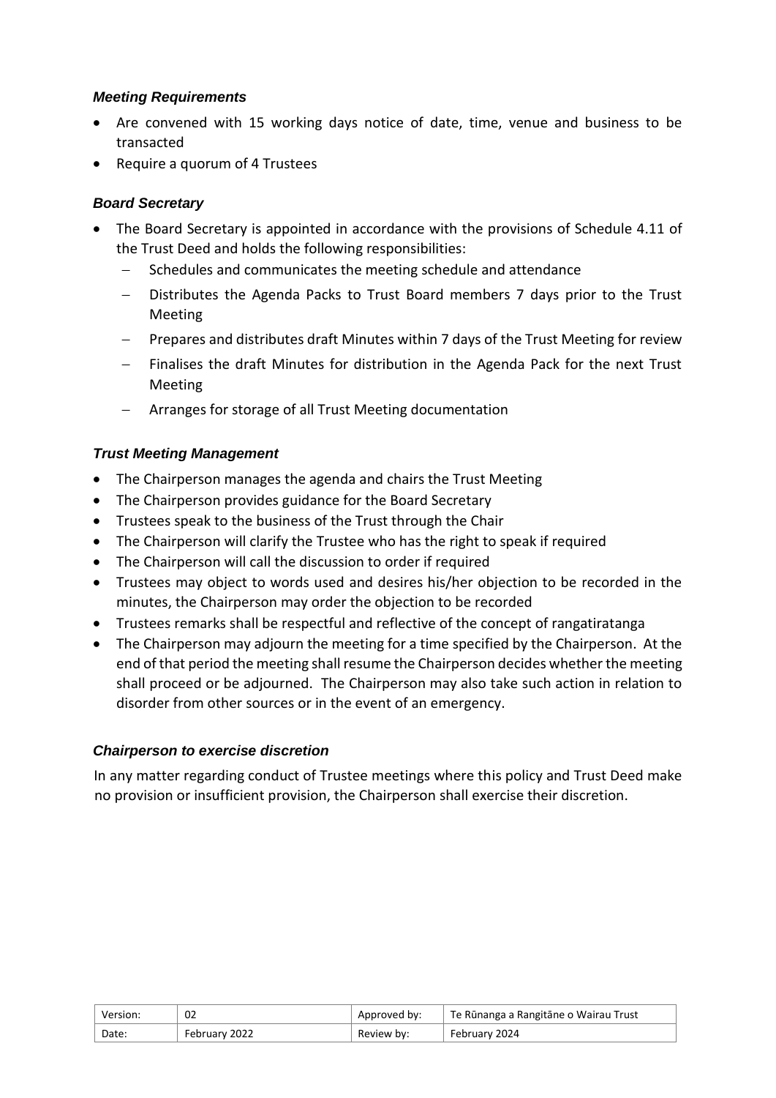## *Meeting Requirements*

- Are convened with 15 working days notice of date, time, venue and business to be transacted
- Require a quorum of 4 Trustees

## *Board Secretary*

- The Board Secretary is appointed in accordance with the provisions of Schedule 4.11 of the Trust Deed and holds the following responsibilities:
	- Schedules and communicates the meeting schedule and attendance
	- − Distributes the Agenda Packs to Trust Board members 7 days prior to the Trust Meeting
	- − Prepares and distributes draft Minutes within 7 days of the Trust Meeting for review
	- Finalises the draft Minutes for distribution in the Agenda Pack for the next Trust Meeting
	- − Arranges for storage of all Trust Meeting documentation

## *Trust Meeting Management*

- The Chairperson manages the agenda and chairs the Trust Meeting
- The Chairperson provides guidance for the Board Secretary
- Trustees speak to the business of the Trust through the Chair
- The Chairperson will clarify the Trustee who has the right to speak if required
- The Chairperson will call the discussion to order if required
- Trustees may object to words used and desires his/her objection to be recorded in the minutes, the Chairperson may order the objection to be recorded
- Trustees remarks shall be respectful and reflective of the concept of rangatiratanga
- The Chairperson may adjourn the meeting for a time specified by the Chairperson. At the end of that period the meeting shall resume the Chairperson decides whether the meeting shall proceed or be adjourned. The Chairperson may also take such action in relation to disorder from other sources or in the event of an emergency.

## *Chairperson to exercise discretion*

In any matter regarding conduct of Trustee meetings where this policy and Trust Deed make no provision or insufficient provision, the Chairperson shall exercise their discretion.

| Version: | 02            | Approved by: | Te Rūnanga a Rangitāne o Wairau Trust |
|----------|---------------|--------------|---------------------------------------|
| Date:    | February 2022 | Review by:   | February 2024                         |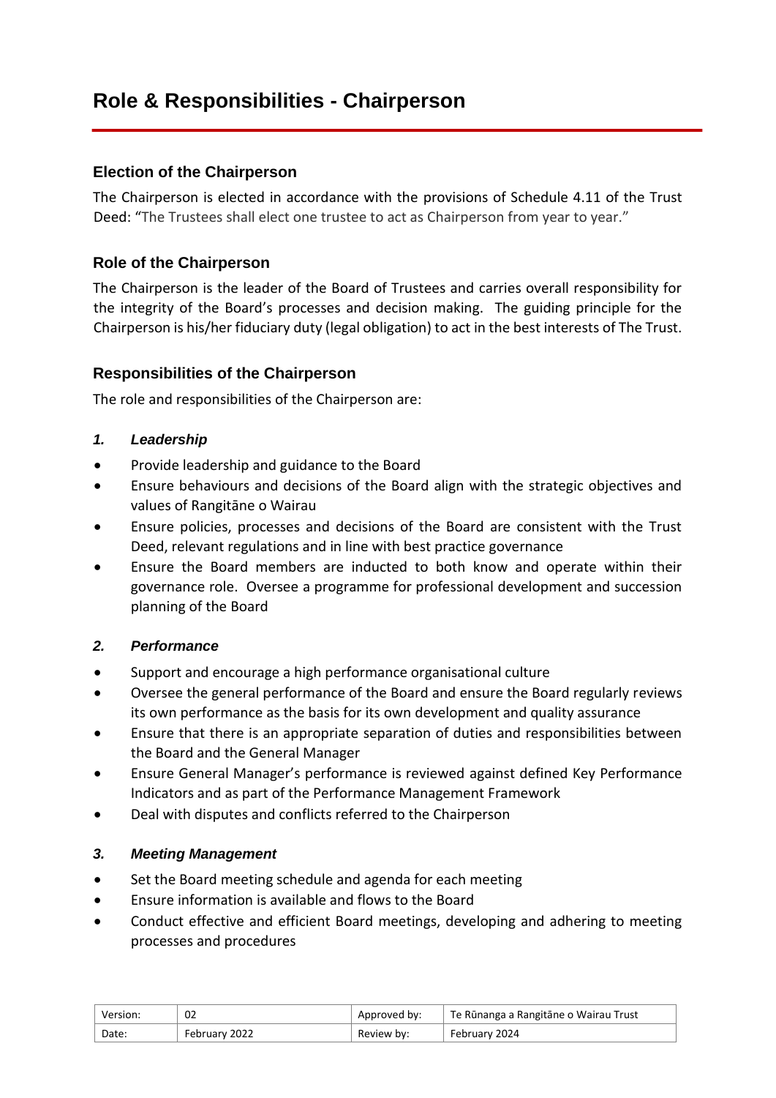# **Role & Responsibilities - Chairperson**

## **Election of the Chairperson**

The Chairperson is elected in accordance with the provisions of Schedule 4.11 of the Trust Deed: "The Trustees shall elect one trustee to act as Chairperson from year to year."

## **Role of the Chairperson**

The Chairperson is the leader of the Board of Trustees and carries overall responsibility for the integrity of the Board's processes and decision making. The guiding principle for the Chairperson is his/her fiduciary duty (legal obligation) to act in the best interests of The Trust.

## **Responsibilities of the Chairperson**

The role and responsibilities of the Chairperson are:

- *1. Leadership*
- Provide leadership and guidance to the Board
- Ensure behaviours and decisions of the Board align with the strategic objectives and values of Rangitāne o Wairau
- Ensure policies, processes and decisions of the Board are consistent with the Trust Deed, relevant regulations and in line with best practice governance
- Ensure the Board members are inducted to both know and operate within their governance role. Oversee a programme for professional development and succession planning of the Board

#### *2. Performance*

- Support and encourage a high performance organisational culture
- Oversee the general performance of the Board and ensure the Board regularly reviews its own performance as the basis for its own development and quality assurance
- Ensure that there is an appropriate separation of duties and responsibilities between the Board and the General Manager
- Ensure General Manager's performance is reviewed against defined Key Performance Indicators and as part of the Performance Management Framework
- Deal with disputes and conflicts referred to the Chairperson

#### *3. Meeting Management*

- Set the Board meeting schedule and agenda for each meeting
- Ensure information is available and flows to the Board
- Conduct effective and efficient Board meetings, developing and adhering to meeting processes and procedures

| Version: | 02            | Approved by: | Te Rūnanga a Rangitāne o Wairau Trust |
|----------|---------------|--------------|---------------------------------------|
| Date:    | February 2022 | Review by:   | February 2024                         |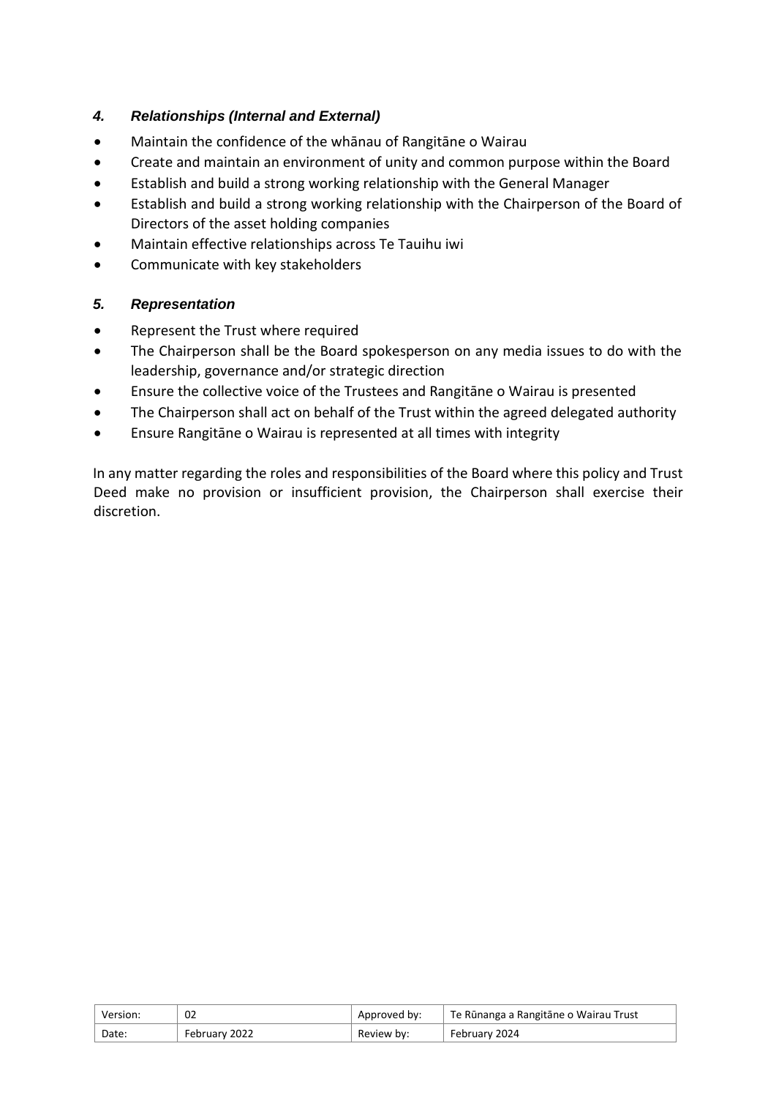## *4. Relationships (Internal and External)*

- Maintain the confidence of the whānau of Rangitāne o Wairau
- Create and maintain an environment of unity and common purpose within the Board
- Establish and build a strong working relationship with the General Manager
- Establish and build a strong working relationship with the Chairperson of the Board of Directors of the asset holding companies
- Maintain effective relationships across Te Tauihu iwi
- Communicate with key stakeholders

## *5. Representation*

- Represent the Trust where required
- The Chairperson shall be the Board spokesperson on any media issues to do with the leadership, governance and/or strategic direction
- Ensure the collective voice of the Trustees and Rangitāne o Wairau is presented
- The Chairperson shall act on behalf of the Trust within the agreed delegated authority
- Ensure Rangitāne o Wairau is represented at all times with integrity

In any matter regarding the roles and responsibilities of the Board where this policy and Trust Deed make no provision or insufficient provision, the Chairperson shall exercise their discretion.

| Version: | 02            | Approved by: | <sup>∣</sup> Te Rūnanga a Rangitāne o Wairau Trust |
|----------|---------------|--------------|----------------------------------------------------|
| Date:    | February 2022 | Review by:   | February 2024                                      |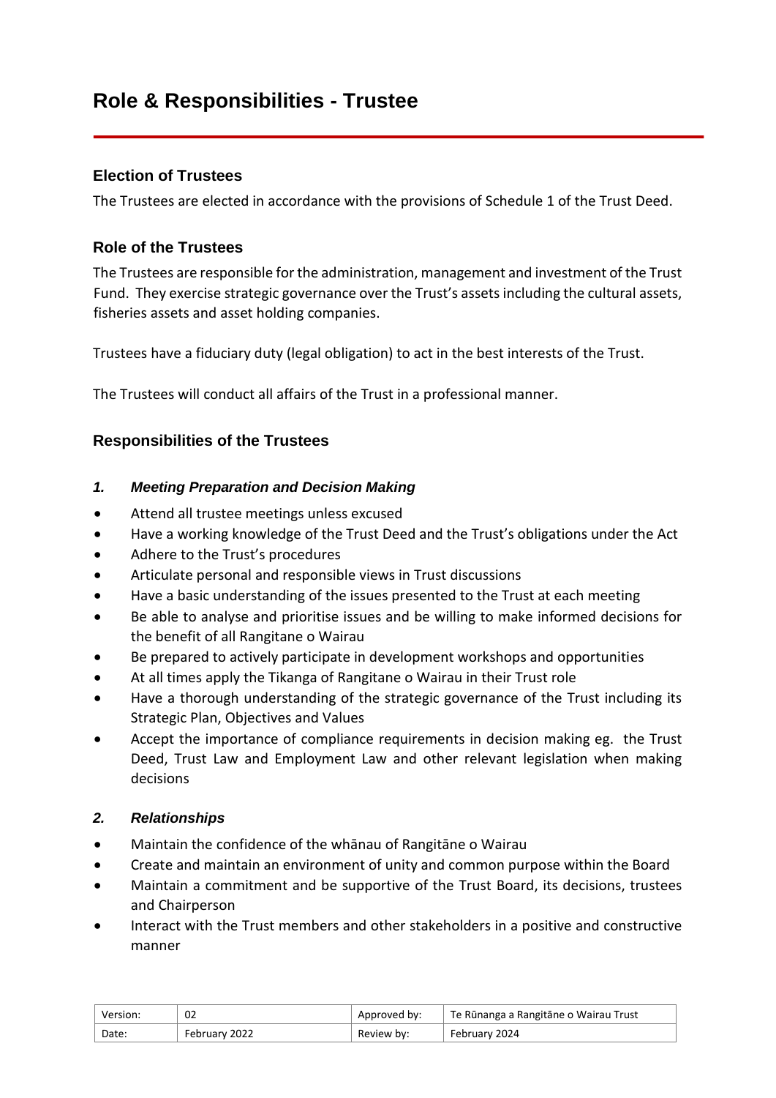# **Role & Responsibilities - Trustee**

## **Election of Trustees**

The Trustees are elected in accordance with the provisions of Schedule 1 of the Trust Deed.

## **Role of the Trustees**

The Trustees are responsible for the administration, management and investment of the Trust Fund. They exercise strategic governance over the Trust's assets including the cultural assets, fisheries assets and asset holding companies.

Trustees have a fiduciary duty (legal obligation) to act in the best interests of the Trust.

The Trustees will conduct all affairs of the Trust in a professional manner.

## **Responsibilities of the Trustees**

#### *1. Meeting Preparation and Decision Making*

- Attend all trustee meetings unless excused
- Have a working knowledge of the Trust Deed and the Trust's obligations under the Act
- Adhere to the Trust's procedures
- Articulate personal and responsible views in Trust discussions
- Have a basic understanding of the issues presented to the Trust at each meeting
- Be able to analyse and prioritise issues and be willing to make informed decisions for the benefit of all Rangitane o Wairau
- Be prepared to actively participate in development workshops and opportunities
- At all times apply the Tikanga of Rangitane o Wairau in their Trust role
- Have a thorough understanding of the strategic governance of the Trust including its Strategic Plan, Objectives and Values
- Accept the importance of compliance requirements in decision making eg. the Trust Deed, Trust Law and Employment Law and other relevant legislation when making decisions

## *2. Relationships*

- Maintain the confidence of the whānau of Rangitāne o Wairau
- Create and maintain an environment of unity and common purpose within the Board
- Maintain a commitment and be supportive of the Trust Board, its decisions, trustees and Chairperson
- Interact with the Trust members and other stakeholders in a positive and constructive manner

| Version: | 02            | Approved by: | Te Rūnanga a Rangitāne o Wairau Trust |
|----------|---------------|--------------|---------------------------------------|
| Date:    | February 2022 | Review by:   | February 2024                         |